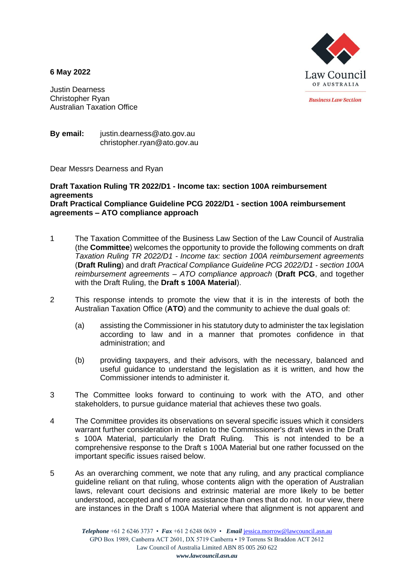**6 May 2022**



**Business Law Section** 

Justin Dearness Christopher Ryan Australian Taxation Office

**By email:** justin.dearness@ato.gov.au christopher.ryan@ato.gov.au

Dear Messrs Dearness and Ryan

# **Draft Taxation Ruling TR 2022/D1 - Income tax: section 100A reimbursement agreements Draft Practical Compliance Guideline PCG 2022/D1 - section 100A reimbursement agreements – ATO compliance approach**

- 1 The Taxation Committee of the Business Law Section of the Law Council of Australia (the **Committee**) welcomes the opportunity to provide the following comments on draft *Taxation Ruling TR 2022/D1 - Income tax: section 100A reimbursement agreements* (**Draft Ruling**) and draft *Practical Compliance Guideline PCG 2022/D1 - section 100A reimbursement agreements – ATO compliance approach* (**Draft PCG**, and together with the Draft Ruling, the **Draft s 100A Material**).
- 2 This response intends to promote the view that it is in the interests of both the Australian Taxation Office (**ATO**) and the community to achieve the dual goals of:
	- (a) assisting the Commissioner in his statutory duty to administer the tax legislation according to law and in a manner that promotes confidence in that administration; and
	- (b) providing taxpayers, and their advisors, with the necessary, balanced and useful guidance to understand the legislation as it is written, and how the Commissioner intends to administer it.
- 3 The Committee looks forward to continuing to work with the ATO, and other stakeholders, to pursue guidance material that achieves these two goals.
- 4 The Committee provides its observations on several specific issues which it considers warrant further consideration in relation to the Commissioner's draft views in the Draft s 100A Material, particularly the Draft Ruling. This is not intended to be a comprehensive response to the Draft s 100A Material but one rather focussed on the important specific issues raised below.
- 5 As an overarching comment, we note that any ruling, and any practical compliance guideline reliant on that ruling, whose contents align with the operation of Australian laws, relevant court decisions and extrinsic material are more likely to be better understood, accepted and of more assistance than ones that do not. In our view, there are instances in the Draft s 100A Material where that alignment is not apparent and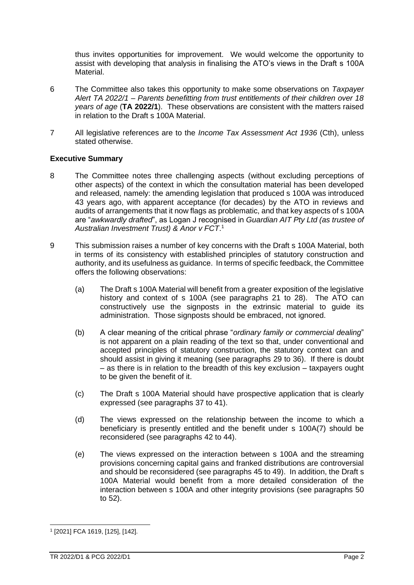thus invites opportunities for improvement. We would welcome the opportunity to assist with developing that analysis in finalising the ATO's views in the Draft s 100A Material.

- 6 The Committee also takes this opportunity to make some observations on *Taxpayer Alert TA 2022/1 – Parents benefitting from trust entitlements of their children over 18 years of age* (**TA 2022/1**). These observations are consistent with the matters raised in relation to the Draft s 100A Material.
- 7 All legislative references are to the *Income Tax Assessment Act 1936* (Cth), unless stated otherwise.

# **Executive Summary**

- 8 The Committee notes three challenging aspects (without excluding perceptions of other aspects) of the context in which the consultation material has been developed and released, namely: the amending legislation that produced s 100A was introduced 43 years ago, with apparent acceptance (for decades) by the ATO in reviews and audits of arrangements that it now flags as problematic, and that key aspects of s 100A are "*awkwardly drafted*", as Logan J recognised in *Guardian AIT Pty Ltd (as trustee of Australian Investment Trust) & Anor v FCT*. 1
- 9 This submission raises a number of key concerns with the Draft s 100A Material, both in terms of its consistency with established principles of statutory construction and authority, and its usefulness as guidance. In terms of specific feedback, the Committee offers the following observations:
	- (a) The Draft s 100A Material will benefit from a greater exposition of the legislative history and context of s 100A (see paragraphs [21](#page-6-0) to [28\)](#page-8-0). The ATO can constructively use the signposts in the extrinsic material to guide its administration. Those signposts should be embraced, not ignored.
	- (b) A clear meaning of the critical phrase "*ordinary family or commercial dealing*" is not apparent on a plain reading of the text so that, under conventional and accepted principles of statutory construction, the statutory context can and should assist in giving it meaning (see paragraphs [29](#page-8-1) to [36\)](#page-10-0). If there is doubt – as there is in relation to the breadth of this key exclusion – taxpayers ought to be given the benefit of it.
	- (c) The Draft s 100A Material should have prospective application that is clearly expressed (see paragraphs [37](#page-10-1) to [41\)](#page-10-2).
	- (d) The views expressed on the relationship between the income to which a beneficiary is presently entitled and the benefit under s 100A(7) should be reconsidered (see paragraphs [42](#page-12-0) to [44\)](#page-12-1).
	- (e) The views expressed on the interaction between s 100A and the streaming provisions concerning capital gains and franked distributions are controversial and should be reconsidered (see paragraph[s 45](#page-12-2) to [49\)](#page-13-0). In addition, the Draft s 100A Material would benefit from a more detailed consideration of the interaction between s 100A and other integrity provisions (see paragraphs [50](#page-13-1) to [52\)](#page-14-0).

<sup>1</sup> [2021] FCA 1619, [125], [142].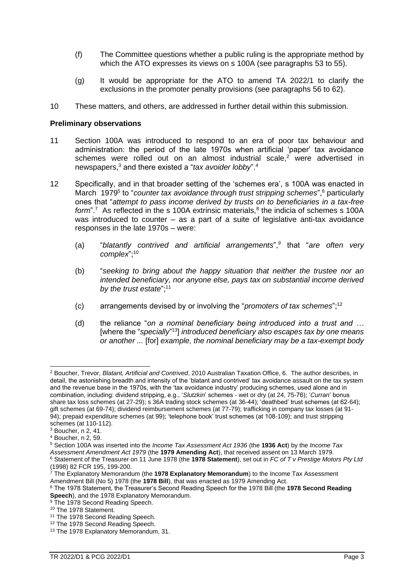- (f) The Committee questions whether a public ruling is the appropriate method by which the ATO expresses its views on s 100A (see paragraphs [53](#page-14-1) to [55\)](#page-14-2).
- <span id="page-2-0"></span>(g) It would be appropriate for the ATO to amend TA 2022/1 to clarify the exclusions in the promoter penalty provisions (see paragraphs [56](#page-14-3) to [62\)](#page-15-0).
- 10 These matters, and others, are addressed in further detail within this submission.

#### **Preliminary observations**

- 11 Section 100A was introduced to respond to an era of poor tax behaviour and administration: the period of the late 1970s when artificial 'paper' tax avoidance schemes were rolled out on an almost industrial scale,<sup>2</sup> were advertised in newspapers,<sup>3</sup> and there existed a "*tax avoider lobby*".<sup>4</sup>
- 12 Specifically, and in that broader setting of the 'schemes era', s 100A was enacted in March 1979<sup>5</sup> to "*counter tax avoidance through trust stripping schemes*",<sup>6</sup> particularly ones that "*attempt to pass income derived by trusts on to beneficiaries in a tax-free*  form".<sup>7</sup> As reflected in the s 100A extrinsic materials,<sup>8</sup> the indicia of schemes s 100A was introduced to counter – as a part of a suite of legislative anti-tax avoidance responses in the late 1970s – were:
	- (a) "*blatantly contrived and artificial arrangements*",*<sup>9</sup>* that "*are often very complex*";<sup>10</sup>
	- (b) "*seeking to bring about the happy situation that neither the trustee nor an intended beneficiary, nor anyone else, pays tax on substantial income derived by the trust estate*";<sup>11</sup>
	- (c) arrangements devised by or involving the "*promoters of tax schemes*";<sup>12</sup>
	- (d) the reliance "*on a nominal beneficiary being introduced into a trust and …* [where the "*specially*" <sup>13</sup>] *introduced beneficiary also escapes tax by one means or another ...* [for] *example, the nominal beneficiary may be a tax-exempt body*

<sup>2</sup> Boucher, Trevor, *Blatant, Artificial and Contrived*, 2010 Australian Taxation Office, 6. The author describes, in detail, the astonishing breadth and intensity of the 'blatant and contrived' tax avoidance assault on the tax system and the revenue base in the 1970s, with the 'tax avoidance industry' producing schemes, used alone and in combination, including: dividend stripping, e.g., '*Slutzkin*' schemes - wet or dry (at 24, 75-76); '*Curran*' bonus share tax loss schemes (at 27-29); s 36A trading stock schemes (at 36-44); 'deathbed' trust schemes (at 62-64); gift schemes (at 69-74); dividend reimbursement schemes (at 77-79); trafficking in company tax losses (at 91- 94); prepaid expenditure schemes (at 99); 'telephone book' trust schemes (at 108-109); and trust stripping schemes (at 110-112).

<sup>3</sup> Boucher, n [2,](#page-2-0) 41.

<sup>4</sup> Boucher, n [2,](#page-2-0) 59.

<sup>5</sup> Section 100A was inserted into the *Income Tax Assessment Act 1936* (the **1936 Act**) by the *Income Tax Assessment Amendment Act 1979* (the **1979 Amending Act**), that received assent on 13 March 1979. <sup>6</sup> Statement of the Treasurer on 11 June 1978 (the **1978 Statement**), set out in *FC of T v Prestige Motors Pty Ltd*

<sup>(1998) 82</sup> FCR 195, 199-200.

<sup>7</sup> The Explanatory Memorandum (the **1978 Explanatory Memorandum**) to the Income Tax Assessment Amendment Bill (No 5) 1978 (the **1978 Bill**), that was enacted as 1979 Amending Act.

<sup>8</sup> The 1978 Statement, the Treasurer's Second Reading Speech for the 1978 Bill (the **1978 Second Reading Speech**), and the 1978 Explanatory Memorandum.

<sup>&</sup>lt;sup>9</sup> The 1978 Second Reading Speech.

<sup>10</sup> The 1978 Statement.

<sup>&</sup>lt;sup>11</sup> The 1978 Second Reading Speech.

<sup>&</sup>lt;sup>12</sup> The 1978 Second Reading Speech.

<sup>13</sup> The 1978 Explanatory Memorandum, 31.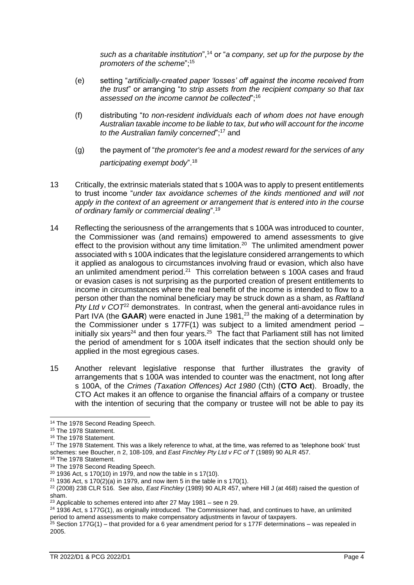*such as a charitable institution*",<sup>14</sup> or "*a company, set up for the purpose by the promoters of the scheme*";<sup>15</sup>

- <span id="page-3-0"></span>(e) setting "*artificially-created paper 'losses' off against the income received from the trust*" or arranging "*to strip assets from the recipient company so that tax assessed on the income cannot be collected*";<sup>16</sup>
- (f) distributing "*to non-resident individuals each of whom does not have enough Australian taxable income to be liable to tax, but who will account for the income*  to the Australian family concerned";<sup>17</sup> and
- (g) the payment of "*the promoter's fee and a modest reward for the services of any participating exempt body*".<sup>18</sup>
- 13 Critically, the extrinsic materials stated that s 100A was to apply to present entitlements to trust income "*under tax avoidance schemes of the kinds mentioned and will not apply in the context of an agreement or arrangement that is entered into in the course of ordinary family or commercial dealing*".<sup>19</sup>
- 14 Reflecting the seriousness of the arrangements that s 100A was introduced to counter, the Commissioner was (and remains) empowered to amend assessments to give effect to the provision without any time limitation.<sup>20</sup> The unlimited amendment power associated with s 100A indicates that the legislature considered arrangements to which it applied as analogous to circumstances involving fraud or evasion, which also have an unlimited amendment period. $21$  This correlation between s 100A cases and fraud or evasion cases is not surprising as the purported creation of present entitlements to income in circumstances where the real benefit of the income is intended to flow to a person other than the nominal beneficiary may be struck down as a sham, as *Raftland Pty Ltd v COT*<sup>22</sup> demonstrates. In contrast, when the general anti-avoidance rules in Part IVA (the **GAAR**) were enacted in June 1981,<sup>23</sup> the making of a determination by the Commissioner under s 177F(1) was subject to a limited amendment period – initially six years<sup>24</sup> and then four years.<sup>25</sup> The fact that Parliament still has not limited the period of amendment for s 100A itself indicates that the section should only be applied in the most egregious cases.
- 15 Another relevant legislative response that further illustrates the gravity of arrangements that s 100A was intended to counter was the enactment, not long after s 100A, of the *Crimes (Taxation Offences) Act 1980* (Cth) (**CTO Act**). Broadly, the CTO Act makes it an offence to organise the financial affairs of a company or trustee with the intention of securing that the company or trustee will not be able to pay its

<sup>24</sup> 1936 Act, s 177G(1), as originally introduced. The Commissioner had, and continues to have, an unlimited period to amend assessments to make compensatory adjustments in favour of taxpayers.

<sup>14</sup> The 1978 Second Reading Speech.

<sup>&</sup>lt;sup>15</sup> The 1978 Statement.

<sup>16</sup> The 1978 Statement.

<sup>&</sup>lt;sup>17</sup> The 1978 Statement. This was a likely reference to what, at the time, was referred to as 'telephone book' trust schemes: see Boucher, n [2,](#page-2-0) 108-109, and *East Finchley Pty Ltd v FC of T* (1989) 90 ALR 457.

<sup>&</sup>lt;sup>18</sup> The 1978 Statement.

<sup>&</sup>lt;sup>19</sup> The 1978 Second Reading Speech.

 $20$  1936 Act, s 170(10) in 1979, and now the table in s 17(10).

 $21$  1936 Act, s 170(2)(a) in 1979, and now item 5 in the table in s 170(1).

<sup>22</sup> (2008) 238 CLR 516. See also, *East Finchley* (1989) 90 ALR 457, where Hill J (at 468) raised the question of sham.

 $23$  Applicable to schemes entered into after 27 May 1981 – see n [29.](#page-4-0)

<sup>&</sup>lt;sup>25</sup> Section 177G(1) – that provided for a 6 year amendment period for s 177F determinations – was repealed in 2005.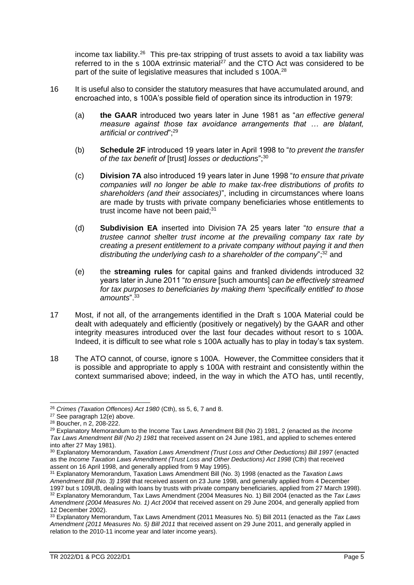<span id="page-4-0"></span>income tax liability.<sup>26</sup> This pre-tax stripping of trust assets to avoid a tax liability was referred to in the s 100A extrinsic material<sup>27</sup> and the CTO Act was considered to be part of the suite of legislative measures that included s 100A.<sup>28</sup>

- 16 It is useful also to consider the statutory measures that have accumulated around, and encroached into, s 100A's possible field of operation since its introduction in 1979:
	- (a) **the GAAR** introduced two years later in June 1981 as "*an effective general measure against those tax avoidance arrangements that … are blatant, artificial or contrived*";<sup>29</sup>
	- (b) **Schedule 2F** introduced 19 years later in April 1998 to "*to prevent the transfer of the tax benefit of* [trust] *losses or deductions*";<sup>30</sup>
	- (c) **Division 7A** also introduced 19 years later in June 1998 "*to ensure that private companies will no longer be able to make tax-free distributions of profits to shareholders (and their associates)*", including in circumstances where loans are made by trusts with private company beneficiaries whose entitlements to trust income have not been paid:<sup>31</sup>
	- (d) **Subdivision EA** inserted into Division 7A 25 years later "*to ensure that a trustee cannot shelter trust income at the prevailing company tax rate by creating a present entitlement to a private company without paying it and then distributing the underlying cash to a shareholder of the company*";<sup>32</sup> and
	- (e) the **streaming rules** for capital gains and franked dividends introduced 32 years later in June 2011 "*to ensure* [such amounts] *can be effectively streamed for tax purposes to beneficiaries by making them 'specifically entitled' to those amounts*".<sup>33</sup>
- 17 Most, if not all, of the arrangements identified in the Draft s 100A Material could be dealt with adequately and efficiently (positively or negatively) by the GAAR and other integrity measures introduced over the last four decades without resort to s 100A. Indeed, it is difficult to see what role s 100A actually has to play in today's tax system.
- 18 The ATO cannot, of course, ignore s 100A. However, the Committee considers that it is possible and appropriate to apply s 100A with restraint and consistently within the context summarised above; indeed, in the way in which the ATO has, until recently,

<sup>26</sup> *Crimes (Taxation Offences) Act 1980* (Cth), ss 5, 6, 7 and 8.

<sup>27</sup> See paragraph [12\(e\)](#page-3-0) above.

<sup>28</sup> Boucher, n [2,](#page-2-0) 208-222.

<sup>29</sup> Explanatory Memorandum to the Income Tax Laws Amendment Bill (No 2) 1981, 2 (enacted as the *Income Tax Laws Amendment Bill (No 2) 1981* that received assent on 24 June 1981, and applied to schemes entered into after 27 May 1981).

<sup>30</sup> Explanatory Memorandum, *Taxation Laws Amendment (Trust Loss and Other Deductions) Bill 1997* (enacted as the *Income Taxation Laws Amendment (Trust Loss and Other Deductions) Act 1998* (Cth) that received assent on 16 April 1998, and generally applied from 9 May 1995).

<sup>31</sup> Explanatory Memorandum, Taxation Laws Amendment Bill (No. 3) 1998 (enacted as the *Taxation Laws Amendment Bill (No. 3) 1998* that received assent on 23 June 1998, and generally applied from 4 December 1997 but s 109UB, dealing with loans by trusts with private company beneficiaries, applied from 27 March 1998). <sup>32</sup> Explanatory Memorandum, Tax Laws Amendment (2004 Measures No. 1) Bill 2004 (enacted as the *Tax Laws Amendment (2004 Measures No. 1) Act 2004* that received assent on 29 June 2004, and generally applied from 12 December 2002).

<sup>33</sup> Explanatory Memorandum, Tax Laws Amendment (2011 Measures No. 5) Bill 2011 (enacted as the *Tax Laws Amendment (2011 Measures No. 5) Bill 2011* that received assent on 29 June 2011, and generally applied in relation to the 2010-11 income year and later income years).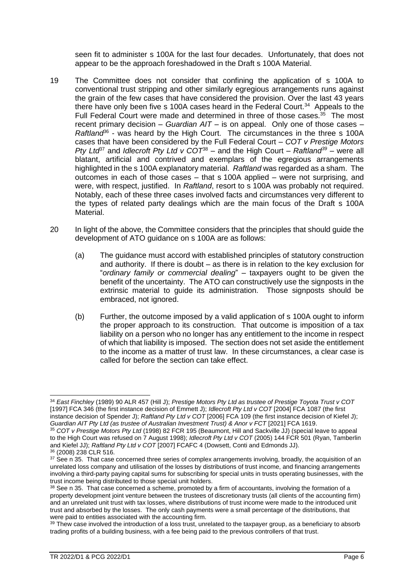<span id="page-5-0"></span>seen fit to administer s 100A for the last four decades. Unfortunately, that does not appear to be the approach foreshadowed in the Draft s 100A Material.

- 19 The Committee does not consider that confining the application of s 100A to conventional trust stripping and other similarly egregious arrangements runs against the grain of the few cases that have considered the provision. Over the last 43 years there have only been five s 100A cases heard in the Federal Court.<sup>34</sup> Appeals to the Full Federal Court were made and determined in three of those cases.<sup>35</sup> The most recent primary decision – *Guardian AIT* – is on appeal. Only one of those cases – Raftland<sup>66</sup> - was heard by the High Court. The circumstances in the three s 100A cases that have been considered by the Full Federal Court – *COT v Prestige Motors Pty Ltd*<sup>37</sup> and *Idlecroft Pty Ltd v COT*<sup>38</sup> – and the High Court – *Raftland<sup>39</sup>* – were all blatant, artificial and contrived and exemplars of the egregious arrangements highlighted in the s 100A explanatory material. *Raftland* was regarded as a sham. The outcomes in each of those cases – that s 100A applied – were not surprising, and were, with respect, justified. In *Raftland*, resort to s 100A was probably not required. Notably, each of these three cases involved facts and circumstances very different to the types of related party dealings which are the main focus of the Draft s 100A Material.
- 20 In light of the above, the Committee considers that the principles that should guide the development of ATO guidance on s 100A are as follows:
	- (a) The guidance must accord with established principles of statutory construction and authority. If there is doubt – as there is in relation to the key exclusion for "*ordinary family or commercial dealing*" – taxpayers ought to be given the benefit of the uncertainty. The ATO can constructively use the signposts in the extrinsic material to guide its administration. Those signposts should be embraced, not ignored.
	- (b) Further, the outcome imposed by a valid application of s 100A ought to inform the proper approach to its construction. That outcome is imposition of a tax liability on a person who no longer has any entitlement to the income in respect of which that liability is imposed. The section does not set aside the entitlement to the income as a matter of trust law. In these circumstances, a clear case is called for before the section can take effect.

<sup>34</sup> *East Finchley* (1989) 90 ALR 457 (Hill J); *Prestige Motors Pty Ltd as trustee of Prestige Toyota Trust v COT* [1997] FCA 346 (the first instance decision of Emmett J); *Idlecroft Pty Ltd v COT* [2004] FCA 1087 (the first instance decision of Spender J); *Raftland Pty Ltd v COT* [2006] FCA 109 (the first instance decision of Kiefel J); *Guardian AIT Pty Ltd (as trustee of Australian Investment Trust) & Anor v FCT* [2021] FCA 1619.

<sup>35</sup> *COT v Prestige Motors Pty Ltd* (1998) 82 FCR 195 (Beaumont, Hill and Sackville JJ) (special leave to appeal to the High Court was refused on 7 August 1998); *Idlecroft Pty Ltd v COT* (2005) 144 FCR 501 (Ryan, Tamberlin and Kiefel JJ); *Raftland Pty Ltd v COT* [2007] FCAFC 4 (Dowsett, Conti and Edmonds JJ). <sup>36</sup> (2008) 238 CLR 516.

 $37$  See n [35.](#page-5-0) That case concerned three series of complex arrangements involving, broadly, the acquisition of an unrelated loss company and utilisation of the losses by distributions of trust income, and financing arrangements involving a third-party paying capital sums for subscribing for special units in trusts operating businesses, with the trust income being distributed to those special unit holders.

<sup>38</sup> See n [35.](#page-5-0) That case concerned a scheme, promoted by a firm of accountants, involving the formation of a property development joint venture between the trustees of discretionary trusts (all clients of the accounting firm) and an unrelated unit trust with tax losses, where distributions of trust income were made to the introduced unit trust and absorbed by the losses. The only cash payments were a small percentage of the distributions, that were paid to entities associated with the accounting firm.

<sup>&</sup>lt;sup>39</sup> Thew case involved the introduction of a loss trust, unrelated to the taxpayer group, as a beneficiary to absorb trading profits of a building business, with a fee being paid to the previous controllers of that trust.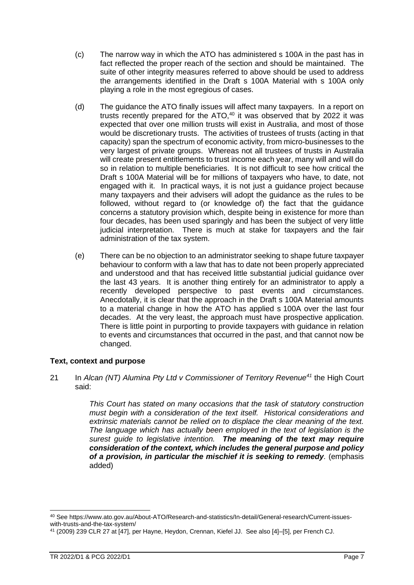- (c) The narrow way in which the ATO has administered s 100A in the past has in fact reflected the proper reach of the section and should be maintained. The suite of other integrity measures referred to above should be used to address the arrangements identified in the Draft s 100A Material with s 100A only playing a role in the most egregious of cases.
- (d) The guidance the ATO finally issues will affect many taxpayers. In a report on trusts recently prepared for the ATO, $40$  it was observed that by 2022 it was expected that over one million trusts will exist in Australia, and most of those would be discretionary trusts. The activities of trustees of trusts (acting in that capacity) span the spectrum of economic activity, from micro-businesses to the very largest of private groups. Whereas not all trustees of trusts in Australia will create present entitlements to trust income each year, many will and will do so in relation to multiple beneficiaries. It is not difficult to see how critical the Draft s 100A Material will be for millions of taxpayers who have, to date, not engaged with it. In practical ways, it is not just a guidance project because many taxpayers and their advisers will adopt the guidance as the rules to be followed, without regard to (or knowledge of) the fact that the guidance concerns a statutory provision which, despite being in existence for more than four decades, has been used sparingly and has been the subject of very little judicial interpretation. There is much at stake for taxpayers and the fair administration of the tax system.
- <span id="page-6-1"></span>(e) There can be no objection to an administrator seeking to shape future taxpayer behaviour to conform with a law that has to date not been properly appreciated and understood and that has received little substantial judicial guidance over the last 43 years. It is another thing entirely for an administrator to apply a recently developed perspective to past events and circumstances. Anecdotally, it is clear that the approach in the Draft s 100A Material amounts to a material change in how the ATO has applied s 100A over the last four decades. At the very least, the approach must have prospective application. There is little point in purporting to provide taxpayers with guidance in relation to events and circumstances that occurred in the past, and that cannot now be changed.

# **Text, context and purpose**

<span id="page-6-0"></span>21 In *Alcan (NT) Alumina Pty Ltd v Commissioner of Territory Revenue<sup>41</sup>* the High Court said:

> *This Court has stated on many occasions that the task of statutory construction must begin with a consideration of the text itself. Historical considerations and extrinsic materials cannot be relied on to displace the clear meaning of the text. The language which has actually been employed in the text of legislation is the surest guide to legislative intention. The meaning of the text may require consideration of the context, which includes the general purpose and policy of a provision, in particular the mischief it is seeking to remedy.* (emphasis added)

<sup>40</sup> See https://www.ato.gov.au/About-ATO/Research-and-statistics/In-detail/General-research/Current-issueswith-trusts-and-the-tax-system/

<sup>41</sup> (2009) 239 CLR 27 at [47], per Hayne, Heydon, Crennan, Kiefel JJ. See also [4]–[5], per French CJ.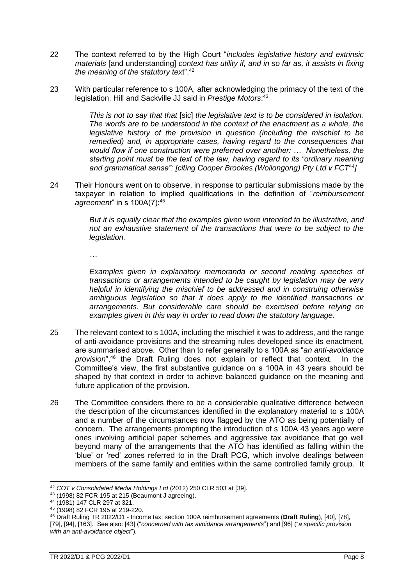- 22 The context referred to by the High Court "*includes legislative history and extrinsic materials* [and understanding] *context has utility if, and in so far as, it assists in fixing the meaning of the statutory tex*t".<sup>42</sup>
- 23 With particular reference to s 100A, after acknowledging the primacy of the text of the legislation, Hill and Sackville JJ said in *Prestige Motors*: 43

*This is not to say that that* [sic] *the legislative text is to be considered in isolation. The words are to be understood in the context of the enactment as a whole, the legislative history of the provision in question (including the mischief to be remedied) and, in appropriate cases, having regard to the consequences that would flow if one construction were preferred over another: … Nonetheless, the starting point must be the text of the law, having regard to its "ordinary meaning and grammatical sense": [citing Cooper Brookes (Wollongong) Pty Ltd v FCT*<sup>44</sup>*]*

24 Their Honours went on to observe, in response to particular submissions made by the taxpayer in relation to implied qualifications in the definition of "*reimbursement agreement*" in s 100A(7):<sup>45</sup>

> *But it is equally clear that the examples given were intended to be illustrative, and not an exhaustive statement of the transactions that were to be subject to the legislation.*

*…*

*Examples given in explanatory memoranda or second reading speeches of transactions or arrangements intended to be caught by legislation may be very helpful in identifying the mischief to be addressed and in construing otherwise ambiguous legislation so that it does apply to the identified transactions or arrangements. But considerable care should be exercised before relying on examples given in this way in order to read down the statutory language.*

- 25 The relevant context to s 100A, including the mischief it was to address, and the range of anti-avoidance provisions and the streaming rules developed since its enactment, are summarised above. Other than to refer generally to s 100A as "*an anti-avoidance provision*",<sup>46</sup> the Draft Ruling does not explain or reflect that context. In the Committee's view, the first substantive guidance on s 100A in 43 years should be shaped by that context in order to achieve balanced guidance on the meaning and future application of the provision.
- 26 The Committee considers there to be a considerable qualitative difference between the description of the circumstances identified in the explanatory material to s 100A and a number of the circumstances now flagged by the ATO as being potentially of concern. The arrangements prompting the introduction of s 100A 43 years ago were ones involving artificial paper schemes and aggressive tax avoidance that go well beyond many of the arrangements that the ATO has identified as falling within the 'blue' or 'red' zones referred to in the Draft PCG, which involve dealings between members of the same family and entities within the same controlled family group. It

<sup>42</sup> *COT v Consolidated Media Holdings Ltd* (2012) 250 CLR 503 at [39].

<sup>43</sup> (1998) 82 FCR 195 at 215 (Beaumont J agreeing).

<sup>44</sup> (1981) 147 CLR 297 at 321.

<sup>45</sup> (1998) 82 FCR 195 at 219-220.

<sup>46</sup> Draft Ruling TR 2022/D1 - Income tax: section 100A reimbursement agreements (**Draft Ruling**), [40], [78], [79], [94], [163]. See also: [43] ("*concerned with tax avoidance arrangements*") and [96] ("*a specific provision with an anti-avoidance object*").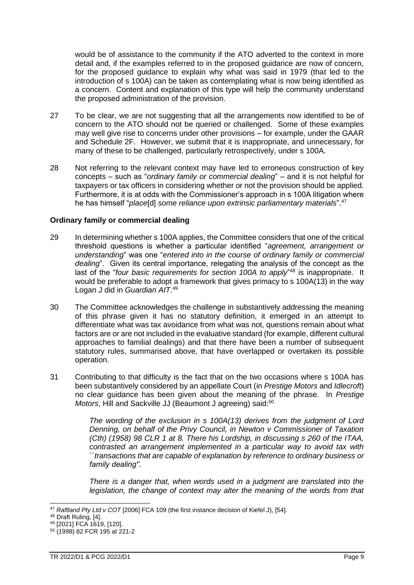would be of assistance to the community if the ATO adverted to the context in more detail and, if the examples referred to in the proposed guidance are now of concern, for the proposed guidance to explain why what was said in 1979 (that led to the introduction of s 100A) can be taken as contemplating what is now being identified as a concern. Content and explanation of this type will help the community understand the proposed administration of the provision.

- 27 To be clear, we are not suggesting that all the arrangements now identified to be of concern to the ATO should not be queried or challenged. Some of these examples may well give rise to concerns under other provisions – for example, under the GAAR and Schedule 2F. However, we submit that it is inappropriate, and unnecessary, for many of these to be challenged, particularly retrospectively, under s 100A.
- <span id="page-8-0"></span>28 Not referring to the relevant context may have led to erroneous construction of key concepts – such as "*ordinary family or commercial dealing*" – and it is not helpful for taxpayers or tax officers in considering whether or not the provision should be applied. Furthermore, it is at odds with the Commissioner's approach in s 100A litigation where he has himself "*place*[d] *some reliance upon extrinsic parliamentary materials*".<sup>47</sup>

# <span id="page-8-1"></span>**Ordinary family or commercial dealing**

- 29 In determining whether s 100A applies, the Committee considers that one of the critical threshold questions is whether a particular identified "*agreement, arrangement or understanding*" was one "*entered into in the course of ordinary family or commercial dealing*". Given its central importance, relegating the analysis of the concept as the last of the "four basic requirements for section 100A to apply"<sup>48</sup> is inappropriate. It would be preferable to adopt a framework that gives primacy to s 100A(13) in the way Logan J did in *Guardian AIT*. 49
- 30 The Committee acknowledges the challenge in substantively addressing the meaning of this phrase given it has no statutory definition, it emerged in an attempt to differentiate what was tax avoidance from what was not, questions remain about what factors are or are not included in the evaluative standard (for example, different cultural approaches to familial dealings) and that there have been a number of subsequent statutory rules, summarised above, that have overlapped or overtaken its possible operation.
- 31 Contributing to that difficulty is the fact that on the two occasions where s 100A has been substantively considered by an appellate Court (in *Prestige Motors* and *Idlecroft*) no clear guidance has been given about the meaning of the phrase. In *Prestige Motors*, Hill and Sackville JJ (Beaumont J agreeing) said:<sup>50</sup>

*The wording of the exclusion in s 100A(13) derives from the judgment of Lord Denning, on behalf of the Privy Council, in Newton v Commissioner of Taxation (Cth) (1958) 98 CLR 1 at 8. There his Lordship, in discussing s 260 of the ITAA, contrasted an arrangement implemented in a particular way to avoid tax with ``transactions that are capable of explanation by reference to ordinary business or family dealing''.* 

*There is a danger that, when words used in a judgment are translated into the legislation, the change of context may alter the meaning of the words from that* 

<sup>47</sup> *Raftland Pty Ltd v COT* [2006] FCA 109 (the first instance decision of Kiefel J), [54].

<sup>48</sup> Draft Ruling, [4].

<sup>49</sup> [2021] FCA 1619, [120].

<sup>50</sup> (1998) 82 FCR 195 at 221-2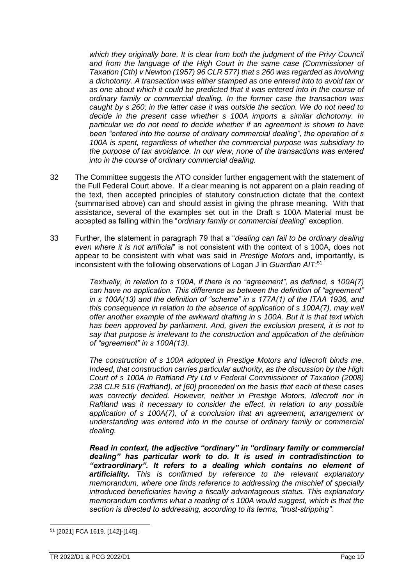which they originally bore. It is clear from both the judgment of the Privy Council *and from the language of the High Court in the same case (Commissioner of Taxation (Cth) v Newton (1957) 96 CLR 577) that s 260 was regarded as involving a dichotomy. A transaction was either stamped as one entered into to avoid tax or as one about which it could be predicted that it was entered into in the course of ordinary family or commercial dealing. In the former case the transaction was caught by s 260; in the latter case it was outside the section. We do not need to decide in the present case whether s 100A imports a similar dichotomy. In particular we do not need to decide whether if an agreement is shown to have been "entered into the course of ordinary commercial dealing", the operation of s 100A is spent, regardless of whether the commercial purpose was subsidiary to the purpose of tax avoidance. In our view, none of the transactions was entered into in the course of ordinary commercial dealing.*

- 32 The Committee suggests the ATO consider further engagement with the statement of the Full Federal Court above. If a clear meaning is not apparent on a plain reading of the text, then accepted principles of statutory construction dictate that the context (summarised above) can and should assist in giving the phrase meaning. With that assistance, several of the examples set out in the Draft s 100A Material must be accepted as falling within the "*ordinary family or commercial dealing*" exception.
- 33 Further, the statement in paragraph 79 that a "*dealing can fail to be ordinary dealing even where it is not artificial*" is not consistent with the context of s 100A, does not appear to be consistent with what was said in *Prestige Motors* and, importantly, is inconsistent with the following observations of Logan J in *Guardian AIT*: 51

*Textually, in relation to s 100A, if there is no "agreement", as defined, s 100A(7) can have no application. This difference as between the definition of "agreement" in s 100A(13) and the definition of "scheme" in s 177A(1) of the ITAA 1936, and this consequence in relation to the absence of application of s 100A(7), may well offer another example of the awkward drafting in s 100A. But it is that text which*  has been approved by parliament. And, given the exclusion present, it is not to *say that purpose is irrelevant to the construction and application of the definition of "agreement" in s 100A(13).*

*The construction of s 100A adopted in Prestige Motors and Idlecroft binds me. Indeed, that construction carries particular authority, as the discussion by the High Court of s 100A in Raftland Pty Ltd v Federal Commissioner of Taxation (2008) 238 CLR 516 (Raftland), at [60] proceeded on the basis that each of these cases was correctly decided. However, neither in Prestige Motors, Idlecroft nor in Raftland was it necessary to consider the effect, in relation to any possible application of s 100A(7), of a conclusion that an agreement, arrangement or understanding was entered into in the course of ordinary family or commercial dealing.* 

*Read in context, the adjective "ordinary" in "ordinary family or commercial dealing" has particular work to do. It is used in contradistinction to "extraordinary". It refers to a dealing which contains no element of artificiality. This is confirmed by reference to the relevant explanatory memorandum, where one finds reference to addressing the mischief of specially introduced beneficiaries having a fiscally advantageous status. This explanatory memorandum confirms what a reading of s 100A would suggest, which is that the section is directed to addressing, according to its terms, "trust-stripping".* 

<sup>51</sup> [2021] FCA 1619, [142]-[145].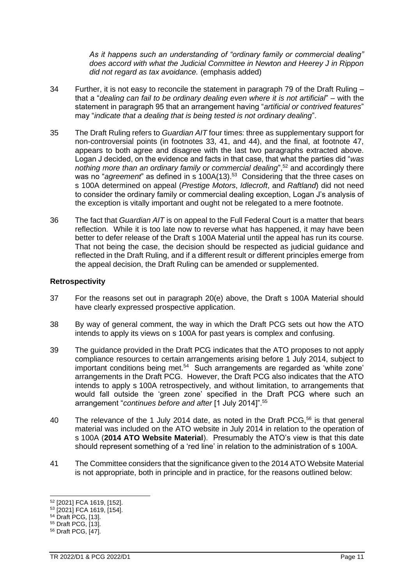*As it happens such an understanding of "ordinary family or commercial dealing" does accord with what the Judicial Committee in Newton and Heerey J in Rippon did not regard as tax avoidance.* (emphasis added)

- 34 Further, it is not easy to reconcile the statement in paragraph 79 of the Draft Ruling that a "*dealing can fail to be ordinary dealing even where it is not artificial*" – with the statement in paragraph 95 that an arrangement having "*artificial or contrived features*" may "*indicate that a dealing that is being tested is not ordinary dealing*".
- 35 The Draft Ruling refers to *Guardian AIT* four times: three as supplementary support for non-controversial points (in footnotes 33, 41, and 44), and the final, at footnote 47, appears to both agree and disagree with the last two paragraphs extracted above. Logan J decided, on the evidence and facts in that case, that what the parties did "*was nothing more than an ordinary family or commercial dealing*",<sup>52</sup> and accordingly there was no "agreement" as defined in s 100A(13).<sup>53</sup> Considering that the three cases on s 100A determined on appeal (*Prestige Motors*, *Idlecroft*, and *Raftland*) did not need to consider the ordinary family or commercial dealing exception, Logan J's analysis of the exception is vitally important and ought not be relegated to a mere footnote.
- <span id="page-10-0"></span>36 The fact that *Guardian AIT* is on appeal to the Full Federal Court is a matter that bears reflection. While it is too late now to reverse what has happened, it may have been better to defer release of the Draft s 100A Material until the appeal has run its course. That not being the case, the decision should be respected as judicial guidance and reflected in the Draft Ruling, and if a different result or different principles emerge from the appeal decision, the Draft Ruling can be amended or supplemented.

# **Retrospectivity**

- <span id="page-10-1"></span>37 For the reasons set out in paragraph [20\(e\)](#page-6-1) above, the Draft s 100A Material should have clearly expressed prospective application.
- 38 By way of general comment, the way in which the Draft PCG sets out how the ATO intends to apply its views on s 100A for past years is complex and confusing.
- 39 The guidance provided in the Draft PCG indicates that the ATO proposes to not apply compliance resources to certain arrangements arising before 1 July 2014, subject to important conditions being met.<sup>54</sup> Such arrangements are regarded as 'white zone' arrangements in the Draft PCG. However, the Draft PCG also indicates that the ATO intends to apply s 100A retrospectively, and without limitation, to arrangements that would fall outside the 'green zone' specified in the Draft PCG where such an arrangement "*continues before and after* [1 July 2014]".<sup>55</sup>
- 40 The relevance of the 1 July 2014 date, as noted in the Draft PCG,<sup>56</sup> is that general material was included on the ATO website in July 2014 in relation to the operation of s 100A (**2014 ATO Website Material**). Presumably the ATO's view is that this date should represent something of a 'red line' in relation to the administration of s 100A.
- <span id="page-10-2"></span>41 The Committee considers that the significance given to the 2014 ATO Website Material is not appropriate, both in principle and in practice, for the reasons outlined below:

<sup>52</sup> [2021] FCA 1619, [152].

<sup>53</sup> [2021] FCA 1619, [154].

<sup>54</sup> Draft PCG, [13].

<sup>55</sup> Draft PCG, [13].

<sup>56</sup> Draft PCG, [47].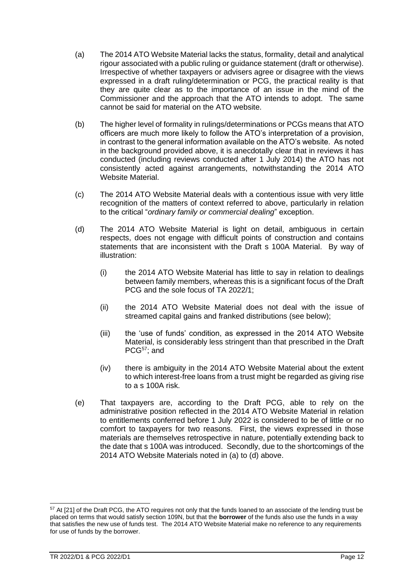- (a) The 2014 ATO Website Material lacks the status, formality, detail and analytical rigour associated with a public ruling or guidance statement (draft or otherwise). Irrespective of whether taxpayers or advisers agree or disagree with the views expressed in a draft ruling/determination or PCG, the practical reality is that they are quite clear as to the importance of an issue in the mind of the Commissioner and the approach that the ATO intends to adopt. The same cannot be said for material on the ATO website.
- (b) The higher level of formality in rulings/determinations or PCGs means that ATO officers are much more likely to follow the ATO's interpretation of a provision, in contrast to the general information available on the ATO's website. As noted in the background provided above, it is anecdotally clear that in reviews it has conducted (including reviews conducted after 1 July 2014) the ATO has not consistently acted against arrangements, notwithstanding the 2014 ATO Website Material.
- (c) The 2014 ATO Website Material deals with a contentious issue with very little recognition of the matters of context referred to above, particularly in relation to the critical "*ordinary family or commercial dealing*" exception.
- (d) The 2014 ATO Website Material is light on detail, ambiguous in certain respects, does not engage with difficult points of construction and contains statements that are inconsistent with the Draft s 100A Material. By way of illustration:
	- (i) the 2014 ATO Website Material has little to say in relation to dealings between family members, whereas this is a significant focus of the Draft PCG and the sole focus of TA 2022/1;
	- (ii) the 2014 ATO Website Material does not deal with the issue of streamed capital gains and franked distributions (see below);
	- (iii) the 'use of funds' condition, as expressed in the 2014 ATO Website Material, is considerably less stringent than that prescribed in the Draft PCG<sup>57</sup>; and
	- (iv) there is ambiguity in the 2014 ATO Website Material about the extent to which interest-free loans from a trust might be regarded as giving rise to a s 100A risk.
- (e) That taxpayers are, according to the Draft PCG, able to rely on the administrative position reflected in the 2014 ATO Website Material in relation to entitlements conferred before 1 July 2022 is considered to be of little or no comfort to taxpayers for two reasons. First, the views expressed in those materials are themselves retrospective in nature, potentially extending back to the date that s 100A was introduced. Secondly, due to the shortcomings of the 2014 ATO Website Materials noted in (a) to (d) above.

<sup>&</sup>lt;sup>57</sup> At [21] of the Draft PCG, the ATO requires not only that the funds loaned to an associate of the lending trust be placed on terms that would satisfy section 109N, but that the **borrower** of the funds also use the funds in a way that satisfies the new use of funds test. The 2014 ATO Website Material make no reference to any requirements for use of funds by the borrower.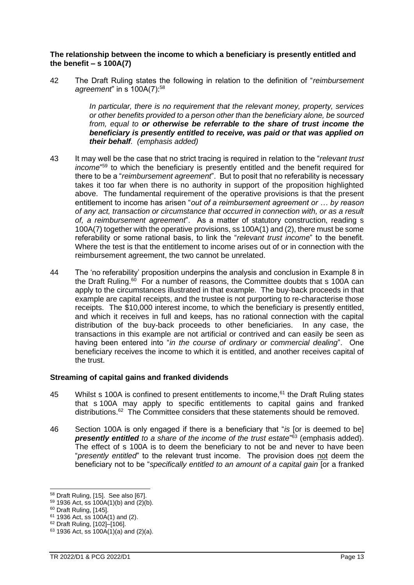# **The relationship between the income to which a beneficiary is presently entitled and the benefit – s 100A(7)**

<span id="page-12-0"></span>42 The Draft Ruling states the following in relation to the definition of "*reimbursement agreement*" in s 100A(7):<sup>58</sup>

> *In particular, there is no requirement that the relevant money, property, services or other benefits provided to a person other than the beneficiary alone, be sourced from, equal to or otherwise be referrable to the share of trust income the beneficiary is presently entitled to receive, was paid or that was applied on their behalf. (emphasis added)*

- 43 It may well be the case that no strict tracing is required in relation to the "*relevant trust income*" <sup>59</sup> to which the beneficiary is presently entitled and the benefit required for there to be a "*reimbursement agreement*". But to posit that no referability is necessary takes it too far when there is no authority in support of the proposition highlighted above. The fundamental requirement of the operative provisions is that the present entitlement to income has arisen "*out of a reimbursement agreement or … by reason of any act, transaction or circumstance that occurred in connection with, or as a result of, a reimbursement agreement*". As a matter of statutory construction, reading s 100A(7) together with the operative provisions, ss 100A(1) and (2), there must be some referability or some rational basis, to link the "*relevant trust income*" to the benefit. Where the test is that the entitlement to income arises out of or in connection with the reimbursement agreement, the two cannot be unrelated.
- <span id="page-12-1"></span>44 The 'no referability' proposition underpins the analysis and conclusion in Example 8 in the Draft Ruling.<sup>60</sup> For a number of reasons, the Committee doubts that s 100A can apply to the circumstances illustrated in that example. The buy-back proceeds in that example are capital receipts, and the trustee is not purporting to re-characterise those receipts. The \$10,000 interest income, to which the beneficiary is presently entitled, and which it receives in full and keeps, has no rational connection with the capital distribution of the buy-back proceeds to other beneficiaries. In any case, the transactions in this example are not artificial or contrived and can easily be seen as having been entered into "*in the course of ordinary or commercial dealing*". One beneficiary receives the income to which it is entitled, and another receives capital of the trust.

# <span id="page-12-2"></span>**Streaming of capital gains and franked dividends**

- 45 Whilst s 100A is confined to present entitlements to income,<sup>61</sup> the Draft Ruling states that s 100A may apply to specific entitlements to capital gains and franked distributions.<sup>62</sup> The Committee considers that these statements should be removed.
- 46 Section 100A is only engaged if there is a beneficiary that "*is* [or is deemed to be] *presently entitled to a share of the income of the trust estate*" <sup>63</sup> (emphasis added). The effect of s 100A is to deem the beneficiary to not be and never to have been "*presently entitled*" to the relevant trust income. The provision does not deem the beneficiary not to be "*specifically entitled to an amount of a capital gain* [or a franked

<sup>58</sup> Draft Ruling, [15]. See also [67].

 $59$  1936 Act, ss 100A(1)(b) and (2)(b).

<sup>&</sup>lt;sup>60</sup> Draft Ruling, [145].

 $61$  1936 Act, ss 100A(1) and (2).

<sup>62</sup> Draft Ruling, [102]–[106].

 $63$  1936 Act, ss 100A(1)(a) and (2)(a).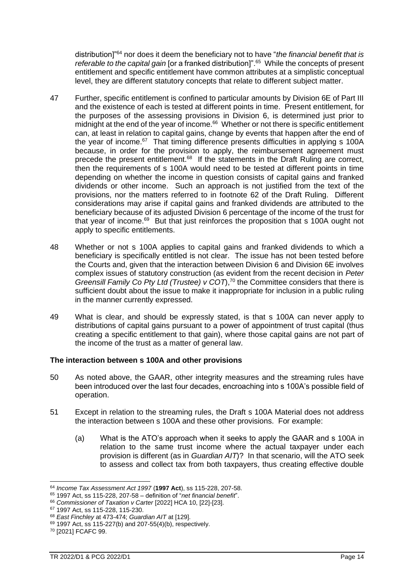distribution]"<sup>64</sup> nor does it deem the beneficiary not to have "*the financial benefit that is*  referable to the capital gain [or a franked distribution]".<sup>65</sup> While the concepts of present entitlement and specific entitlement have common attributes at a simplistic conceptual level, they are different statutory concepts that relate to different subject matter.

- 47 Further, specific entitlement is confined to particular amounts by Division 6E of Part III and the existence of each is tested at different points in time. Present entitlement, for the purposes of the assessing provisions in Division 6, is determined just prior to midnight at the end of the year of income.<sup>66</sup> Whether or not there is specific entitlement can, at least in relation to capital gains, change by events that happen after the end of the year of income.<sup>67</sup> That timing difference presents difficulties in applying s 100A because, in order for the provision to apply, the reimbursement agreement must precede the present entitlement.<sup>68</sup> If the statements in the Draft Ruling are correct, then the requirements of s 100A would need to be tested at different points in time depending on whether the income in question consists of capital gains and franked dividends or other income. Such an approach is not justified from the text of the provisions, nor the matters referred to in footnote 62 of the Draft Ruling. Different considerations may arise if capital gains and franked dividends are attributed to the beneficiary because of its adjusted Division 6 percentage of the income of the trust for that year of income. $69$  But that just reinforces the proposition that s 100A ought not apply to specific entitlements.
- 48 Whether or not s 100A applies to capital gains and franked dividends to which a beneficiary is specifically entitled is not clear. The issue has not been tested before the Courts and, given that the interaction between Division 6 and Division 6E involves complex issues of statutory construction (as evident from the recent decision in *Peter Greensill Family Co Pty Ltd (Trustee) v COT*),<sup>70</sup> the Committee considers that there is sufficient doubt about the issue to make it inappropriate for inclusion in a public ruling in the manner currently expressed.
- <span id="page-13-0"></span>49 What is clear, and should be expressly stated, is that s 100A can never apply to distributions of capital gains pursuant to a power of appointment of trust capital (thus creating a specific entitlement to that gain), where those capital gains are not part of the income of the trust as a matter of general law.

# <span id="page-13-1"></span>**The interaction between s 100A and other provisions**

- 50 As noted above, the GAAR, other integrity measures and the streaming rules have been introduced over the last four decades, encroaching into s 100A's possible field of operation.
- 51 Except in relation to the streaming rules, the Draft s 100A Material does not address the interaction between s 100A and these other provisions. For example:
	- (a) What is the ATO's approach when it seeks to apply the GAAR and s 100A in relation to the same trust income where the actual taxpayer under each provision is different (as in *Guardian AIT*)? In that scenario, will the ATO seek to assess and collect tax from both taxpayers, thus creating effective double

<sup>64</sup> *Income Tax Assessment Act 1997* (**1997 Act**), ss 115-228, 207-58.

<sup>65</sup> 1997 Act, ss 115-228, 207-58 – definition of "*net financial benefit*".

<sup>66</sup> *Commissioner of Taxation v Carter* [2022] HCA 10, [22]-[23].

<sup>67</sup> 1997 Act, ss 115-228, 115-230.

<sup>68</sup> *East Finchley* at 473-474; *Guardian AIT* at [129].

 $69$  1997 Act, ss 115-227(b) and 207-55(4)(b), respectively.

<sup>70</sup> [2021] FCAFC 99.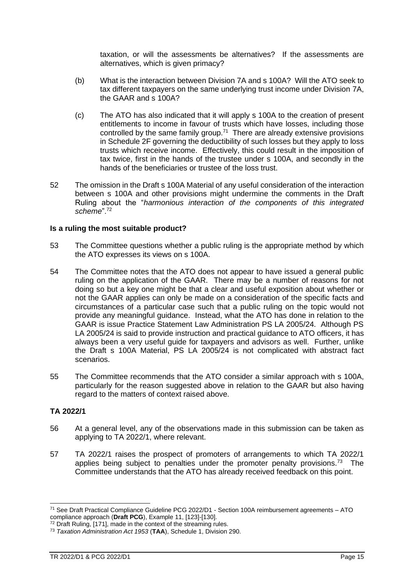taxation, or will the assessments be alternatives? If the assessments are alternatives, which is given primacy?

- (b) What is the interaction between Division 7A and s 100A? Will the ATO seek to tax different taxpayers on the same underlying trust income under Division 7A, the GAAR and s 100A?
- (c) The ATO has also indicated that it will apply s 100A to the creation of present entitlements to income in favour of trusts which have losses, including those controlled by the same family group.<sup>71</sup> There are already extensive provisions in Schedule 2F governing the deductibility of such losses but they apply to loss trusts which receive income. Effectively, this could result in the imposition of tax twice, first in the hands of the trustee under s 100A, and secondly in the hands of the beneficiaries or trustee of the loss trust.
- <span id="page-14-0"></span>52 The omission in the Draft s 100A Material of any useful consideration of the interaction between s 100A and other provisions might undermine the comments in the Draft Ruling about the "*harmonious interaction of the components of this integrated scheme*".<sup>72</sup>

# **Is a ruling the most suitable product?**

- <span id="page-14-1"></span>53 The Committee questions whether a public ruling is the appropriate method by which the ATO expresses its views on s 100A.
- 54 The Committee notes that the ATO does not appear to have issued a general public ruling on the application of the GAAR. There may be a number of reasons for not doing so but a key one might be that a clear and useful exposition about whether or not the GAAR applies can only be made on a consideration of the specific facts and circumstances of a particular case such that a public ruling on the topic would not provide any meaningful guidance. Instead, what the ATO has done in relation to the GAAR is issue Practice Statement Law Administration PS LA 2005/24. Although PS LA 2005/24 is said to provide instruction and practical guidance to ATO officers, it has always been a very useful guide for taxpayers and advisors as well. Further, unlike the Draft s 100A Material, PS LA 2005/24 is not complicated with abstract fact scenarios.
- <span id="page-14-2"></span>55 The Committee recommends that the ATO consider a similar approach with s 100A, particularly for the reason suggested above in relation to the GAAR but also having regard to the matters of context raised above.

# **TA 2022/1**

- <span id="page-14-3"></span>56 At a general level, any of the observations made in this submission can be taken as applying to TA 2022/1, where relevant.
- 57 TA 2022/1 raises the prospect of promoters of arrangements to which TA 2022/1 applies being subject to penalties under the promoter penalty provisions.<sup>73</sup> The Committee understands that the ATO has already received feedback on this point.

<sup>72</sup> Draft Ruling, [171], made in the context of the streaming rules.

<sup>71</sup> See Draft Practical Compliance Guideline PCG 2022/D1 - Section 100A reimbursement agreements – ATO compliance approach (**Draft PCG**), Example 11, [123]-[130].

<sup>73</sup> *Taxation Administration Act 1953* (**TAA**), Schedule 1, Division 290.